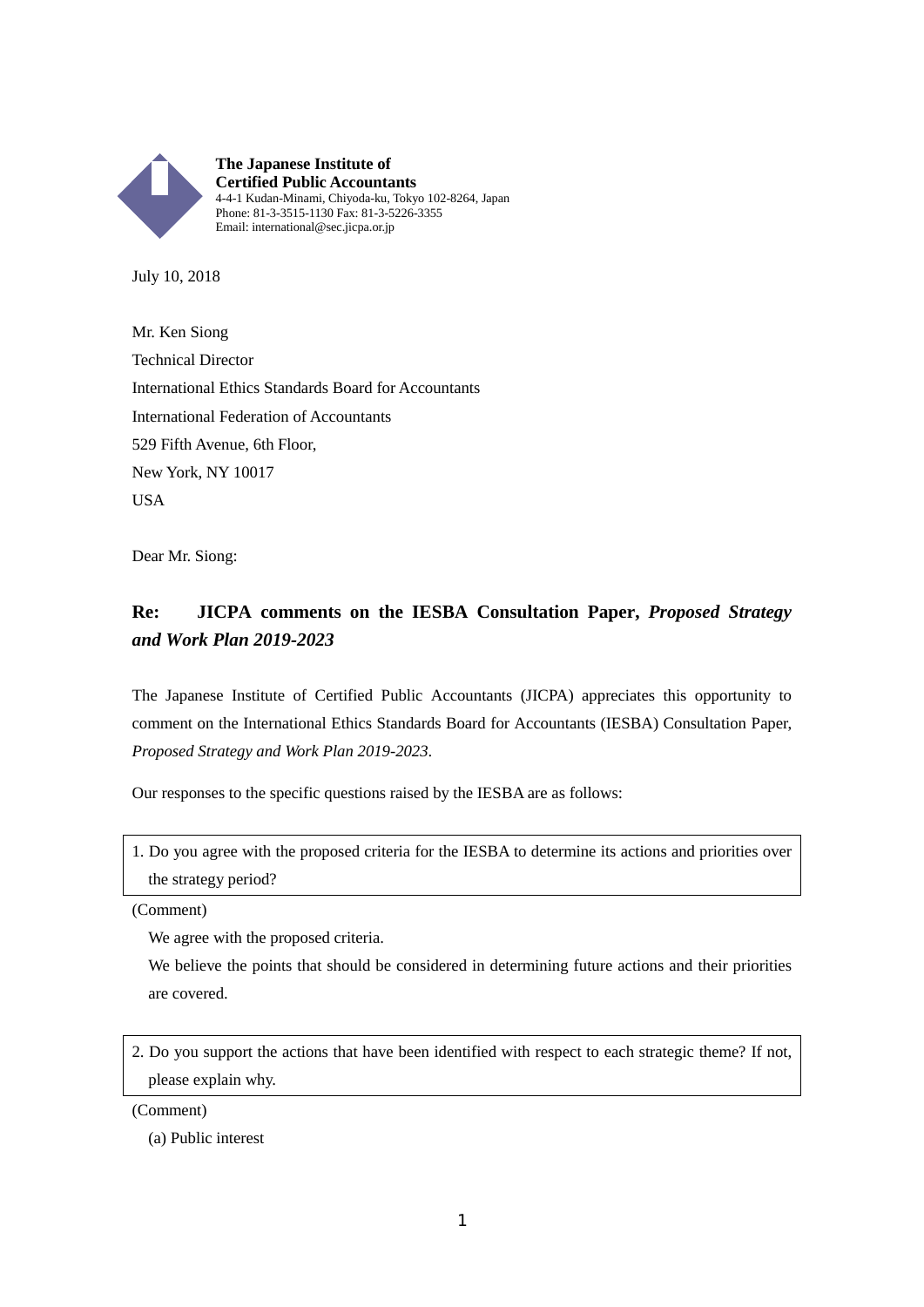

July 10, 2018

Mr. Ken Siong Technical Director International Ethics Standards Board for Accountants International Federation of Accountants 529 Fifth Avenue, 6th Floor, New York, NY 10017 USA

Dear Mr. Siong:

## **Re: JICPA comments on the IESBA Consultation Paper,** *Proposed Strategy and Work Plan 2019-2023*

The Japanese Institute of Certified Public Accountants (JICPA) appreciates this opportunity to comment on the International Ethics Standards Board for Accountants (IESBA) Consultation Paper, *Proposed Strategy and Work Plan 2019-2023*.

Our responses to the specific questions raised by the IESBA are as follows:

1. Do you agree with the proposed criteria for the IESBA to determine its actions and priorities over the strategy period?

(Comment)

We agree with the proposed criteria.

We believe the points that should be considered in determining future actions and their priorities are covered.

2. Do you support the actions that have been identified with respect to each strategic theme? If not, please explain why.

(Comment)

(a) Public interest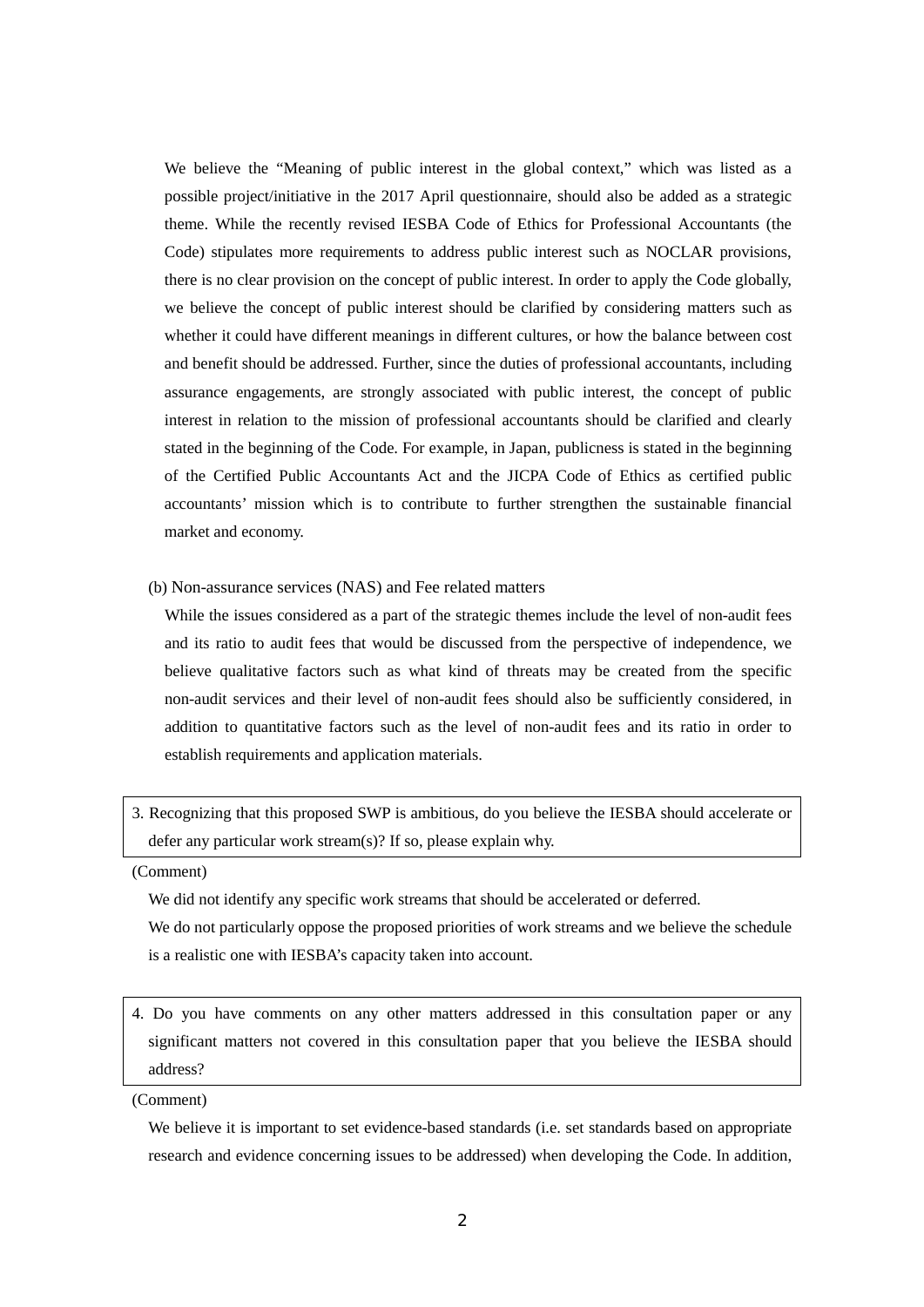We believe the "Meaning of public interest in the global context," which was listed as a possible project/initiative in the 2017 April questionnaire, should also be added as a strategic theme. While the recently revised IESBA Code of Ethics for Professional Accountants (the Code) stipulates more requirements to address public interest such as NOCLAR provisions, there is no clear provision on the concept of public interest. In order to apply the Code globally, we believe the concept of public interest should be clarified by considering matters such as whether it could have different meanings in different cultures, or how the balance between cost and benefit should be addressed. Further, since the duties of professional accountants, including assurance engagements, are strongly associated with public interest, the concept of public interest in relation to the mission of professional accountants should be clarified and clearly stated in the beginning of the Code. For example, in Japan, publicness is stated in the beginning of the Certified Public Accountants Act and the JICPA Code of Ethics as certified public accountants' mission which is to contribute to further strengthen the sustainable financial market and economy.

(b) Non-assurance services (NAS) and Fee related matters

While the issues considered as a part of the strategic themes include the level of non-audit fees and its ratio to audit fees that would be discussed from the perspective of independence, we believe qualitative factors such as what kind of threats may be created from the specific non-audit services and their level of non-audit fees should also be sufficiently considered, in addition to quantitative factors such as the level of non-audit fees and its ratio in order to establish requirements and application materials.

3. Recognizing that this proposed SWP is ambitious, do you believe the IESBA should accelerate or defer any particular work stream(s)? If so, please explain why.

(Comment)

We did not identify any specific work streams that should be accelerated or deferred.

We do not particularly oppose the proposed priorities of work streams and we believe the schedule is a realistic one with IESBA's capacity taken into account.

4. Do you have comments on any other matters addressed in this consultation paper or any significant matters not covered in this consultation paper that you believe the IESBA should address?

(Comment)

We believe it is important to set evidence-based standards (i.e. set standards based on appropriate research and evidence concerning issues to be addressed) when developing the Code. In addition,